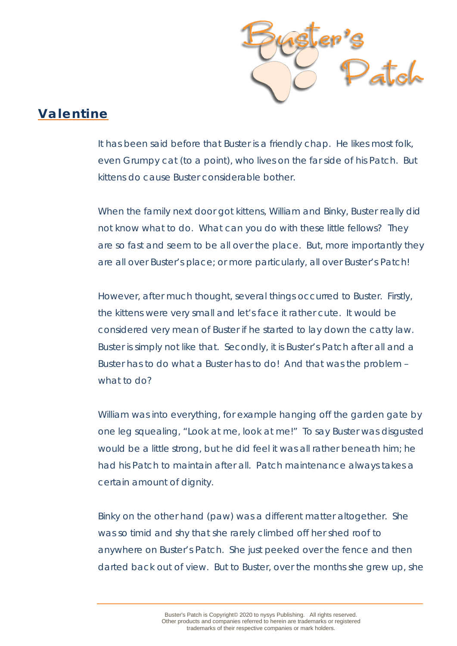

## **Valentine**

It has been said before that Buster is a friendly chap. He likes most folk, even Grumpy cat (to a point), who lives on the far side of his Patch. But kittens do cause Buster considerable bother.

When the family next door got kittens, William and Binky, Buster really did not know what to do. What can you do with these little fellows? They are so fast and seem to be all over the place. But, more importantly they are all over Buster's place; or more particularly, all over Buster's Patch!

However, after much thought, several things occurred to Buster. Firstly, the kittens were very small and let's face it rather cute. It would be considered very mean of Buster if he started to lay down the catty law. Buster is simply not like that. Secondly, it is Buster's Patch after all and a Buster has to do what a Buster has to do! And that was the problem – what to do?

William was into everything, for example hanging off the garden gate by one leg squealing, "Look at me, look at me!" To say Buster was disgusted would be a little strong, but he did feel it was all rather beneath him; he had his Patch to maintain after all. Patch maintenance always takes a certain amount of dignity.

Binky on the other hand (paw) was a different matter altogether. She was so timid and shy that she rarely climbed off her shed roof to anywhere on Buster's Patch. She just peeked over the fence and then darted back out of view. But to Buster, over the months she grew up, she